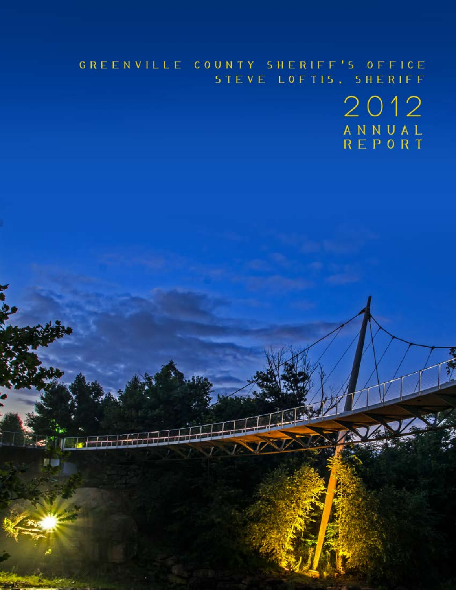# GREENVILLE COUNTY SHERIFF'S OFFICE STEVE LOFTIS, SHERIFF

2012 A N N U A L<br>R E P O R T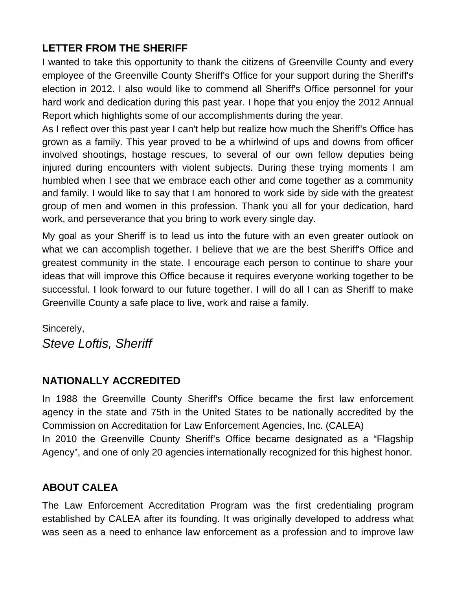# **LETTER FROM THE SHERIFF**

I wanted to take this opportunity to thank the citizens of Greenville County and every employee of the Greenville County Sheriff's Office for your support during the Sheriff's election in 2012. I also would like to commend all Sheriff's Office personnel for your hard work and dedication during this past year. I hope that you enjoy the 2012 Annual Report which highlights some of our accomplishments during the year.

As I reflect over this past year I can't help but realize how much the Sheriff's Office has grown as a family. This year proved to be a whirlwind of ups and downs from officer involved shootings, hostage rescues, to several of our own fellow deputies being injured during encounters with violent subjects. During these trying moments I am humbled when I see that we embrace each other and come together as a community and family. I would like to say that I am honored to work side by side with the greatest group of men and women in this profession. Thank you all for your dedication, hard work, and perseverance that you bring to work every single day.

My goal as your Sheriff is to lead us into the future with an even greater outlook on what we can accomplish together. I believe that we are the best Sheriff's Office and greatest community in the state. I encourage each person to continue to share your ideas that will improve this Office because it requires everyone working together to be successful. I look forward to our future together. I will do all I can as Sheriff to make Greenville County a safe place to live, work and raise a family.

Sincerely, *Steve Loftis, Sheriff* 

## **NATIONALLY ACCREDITED**

In 1988 the Greenville County Sheriff's Office became the first law enforcement agency in the state and 75th in the United States to be nationally accredited by the Commission on Accreditation for Law Enforcement Agencies, Inc. (CALEA) In 2010 the Greenville County Sheriff's Office became designated as a "Flagship Agency", and one of only 20 agencies internationally recognized for this highest honor.

## **ABOUT CALEA**

The Law Enforcement Accreditation Program was the first credentialing program established by CALEA after its founding. It was originally developed to address what was seen as a need to enhance law enforcement as a profession and to improve law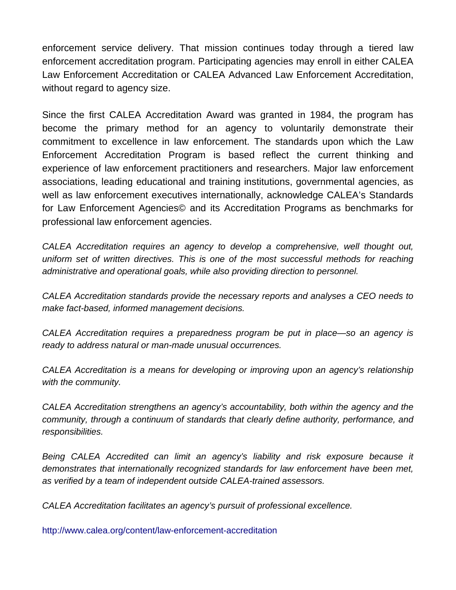enforcement service delivery. That mission continues today through a tiered law enforcement accreditation program. Participating agencies may enroll in either CALEA Law Enforcement Accreditation or CALEA Advanced Law Enforcement Accreditation, without regard to agency size.

Since the first CALEA Accreditation Award was granted in 1984, the program has become the primary method for an agency to voluntarily demonstrate their commitment to excellence in law enforcement. The standards upon which the Law Enforcement Accreditation Program is based reflect the current thinking and experience of law enforcement practitioners and researchers. Major law enforcement associations, leading educational and training institutions, governmental agencies, as well as law enforcement executives internationally, acknowledge CALEA's Standards for Law Enforcement Agencies© and its Accreditation Programs as benchmarks for professional law enforcement agencies.

*CALEA Accreditation requires an agency to develop a comprehensive, well thought out, uniform set of written directives. This is one of the most successful methods for reaching administrative and operational goals, while also providing direction to personnel.*

*CALEA Accreditation standards provide the necessary reports and analyses a CEO needs to make fact-based, informed management decisions.*

*CALEA Accreditation requires a preparedness program be put in place—so an agency is ready to address natural or man-made unusual occurrences.*

*CALEA Accreditation is a means for developing or improving upon an agency's relationship with the community.*

*CALEA Accreditation strengthens an agency's accountability, both within the agency and the community, through a continuum of standards that clearly define authority, performance, and responsibilities.* 

*Being CALEA Accredited can limit an agency's liability and risk exposure because it demonstrates that internationally recognized standards for law enforcement have been met, as verified by a team of independent outside CALEA-trained assessors.*

*CALEA Accreditation facilitates an agency's pursuit of professional excellence.*

<http://www.calea.org/content/law-enforcement-accreditation>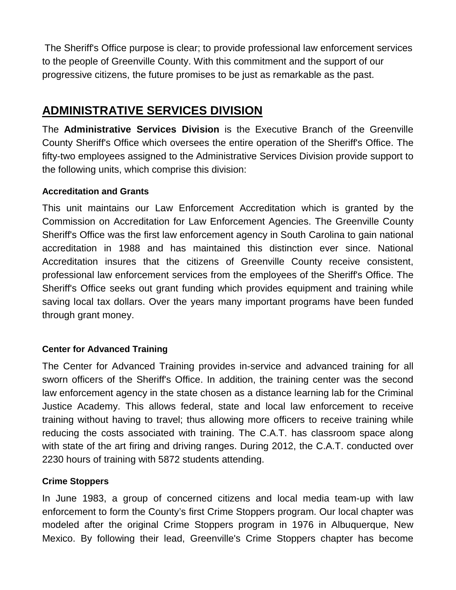The Sheriff's Office purpose is clear; to provide professional law enforcement services to the people of Greenville County. With this commitment and the support of our progressive citizens, the future promises to be just as remarkable as the past.

# **ADMINISTRATIVE SERVICES DIVISION**

The **Administrative Services Division** is the Executive Branch of the Greenville County Sheriff's Office which oversees the entire operation of the Sheriff's Office. The fifty-two employees assigned to the Administrative Services Division provide support to the following units, which comprise this division:

#### **Accreditation and Grants**

This unit maintains our Law Enforcement Accreditation which is granted by the Commission on Accreditation for Law Enforcement Agencies. The Greenville County Sheriff's Office was the first law enforcement agency in South Carolina to gain national accreditation in 1988 and has maintained this distinction ever since. National Accreditation insures that the citizens of Greenville County receive consistent, professional law enforcement services from the employees of the Sheriff's Office. The Sheriff's Office seeks out grant funding which provides equipment and training while saving local tax dollars. Over the years many important programs have been funded through grant money.

## **Center for Advanced Training**

The Center for Advanced Training provides in-service and advanced training for all sworn officers of the Sheriff's Office. In addition, the training center was the second law enforcement agency in the state chosen as a distance learning lab for the Criminal Justice Academy. This allows federal, state and local law enforcement to receive training without having to travel; thus allowing more officers to receive training while reducing the costs associated with training. The C.A.T. has classroom space along with state of the art firing and driving ranges. During 2012, the C.A.T. conducted over 2230 hours of training with 5872 students attending.

#### **Crime Stoppers**

In June 1983, a group of concerned citizens and local media team-up with law enforcement to form the County's first Crime Stoppers program. Our local chapter was modeled after the original Crime Stoppers program in 1976 in Albuquerque, New Mexico. By following their lead, Greenville's Crime Stoppers chapter has become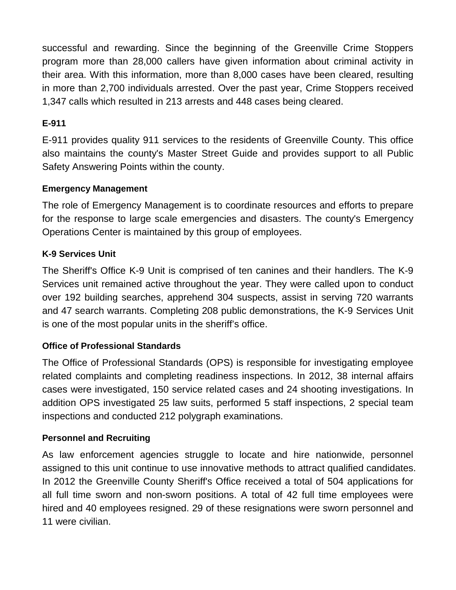successful and rewarding. Since the beginning of the Greenville Crime Stoppers program more than 28,000 callers have given information about criminal activity in their area. With this information, more than 8,000 cases have been cleared, resulting in more than 2,700 individuals arrested. Over the past year, Crime Stoppers received 1,347 calls which resulted in 213 arrests and 448 cases being cleared.

## **E-911**

E-911 provides quality 911 services to the residents of Greenville County. This office also maintains the county's Master Street Guide and provides support to all Public Safety Answering Points within the county.

#### **Emergency Management**

The role of Emergency Management is to coordinate resources and efforts to prepare for the response to large scale emergencies and disasters. The county's Emergency Operations Center is maintained by this group of employees.

## **K-9 Services Unit**

The Sheriff's Office K-9 Unit is comprised of ten canines and their handlers. The K-9 Services unit remained active throughout the year. They were called upon to conduct over 192 building searches, apprehend 304 suspects, assist in serving 720 warrants and 47 search warrants. Completing 208 public demonstrations, the K-9 Services Unit is one of the most popular units in the sheriff's office.

## **Office of Professional Standards**

The Office of Professional Standards (OPS) is responsible for investigating employee related complaints and completing readiness inspections. In 2012, 38 internal affairs cases were investigated, 150 service related cases and 24 shooting investigations. In addition OPS investigated 25 law suits, performed 5 staff inspections, 2 special team inspections and conducted 212 polygraph examinations.

#### **Personnel and Recruiting**

As law enforcement agencies struggle to locate and hire nationwide, personnel assigned to this unit continue to use innovative methods to attract qualified candidates. In 2012 the Greenville County Sheriff's Office received a total of 504 applications for all full time sworn and non-sworn positions. A total of 42 full time employees were hired and 40 employees resigned. 29 of these resignations were sworn personnel and 11 were civilian.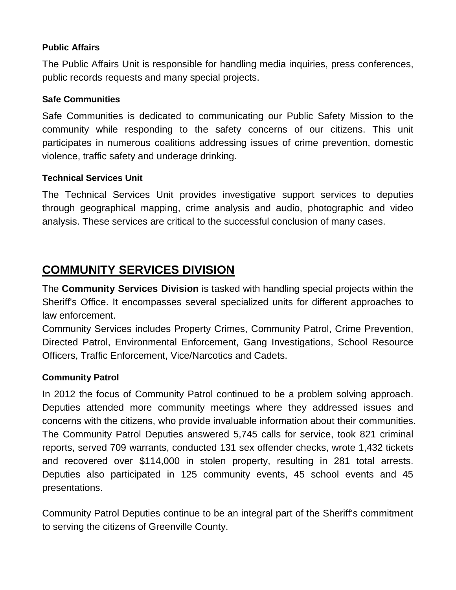#### **Public Affairs**

The Public Affairs Unit is responsible for handling media inquiries, press conferences, public records requests and many special projects.

#### **Safe Communities**

Safe Communities is dedicated to communicating our Public Safety Mission to the community while responding to the safety concerns of our citizens. This unit participates in numerous coalitions addressing issues of crime prevention, domestic violence, traffic safety and underage drinking.

#### **Technical Services Unit**

The Technical Services Unit provides investigative support services to deputies through geographical mapping, crime analysis and audio, photographic and video analysis. These services are critical to the successful conclusion of many cases.

# **COMMUNITY SERVICES DIVISION**

The **Community Services Division** is tasked with handling special projects within the Sheriff's Office. It encompasses several specialized units for different approaches to law enforcement.

Community Services includes Property Crimes, Community Patrol, Crime Prevention, Directed Patrol, Environmental Enforcement, Gang Investigations, School Resource Officers, Traffic Enforcement, Vice/Narcotics and Cadets.

## **Community Patrol**

In 2012 the focus of Community Patrol continued to be a problem solving approach. Deputies attended more community meetings where they addressed issues and concerns with the citizens, who provide invaluable information about their communities. The Community Patrol Deputies answered 5,745 calls for service, took 821 criminal reports, served 709 warrants, conducted 131 sex offender checks, wrote 1,432 tickets and recovered over \$114,000 in stolen property, resulting in 281 total arrests. Deputies also participated in 125 community events, 45 school events and 45 presentations.

Community Patrol Deputies continue to be an integral part of the Sheriff's commitment to serving the citizens of Greenville County.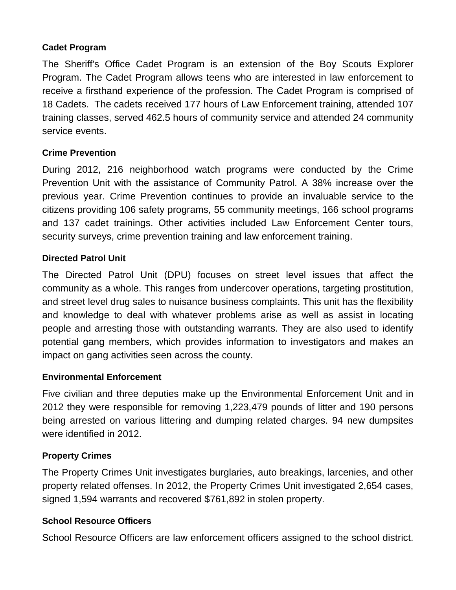#### **Cadet Program**

The Sheriff's Office Cadet Program is an extension of the Boy Scouts Explorer Program. The Cadet Program allows teens who are interested in law enforcement to receive a firsthand experience of the profession. The Cadet Program is comprised of 18 Cadets. The cadets received 177 hours of Law Enforcement training, attended 107 training classes, served 462.5 hours of community service and attended 24 community service events.

## **Crime Prevention**

During 2012, 216 neighborhood watch programs were conducted by the Crime Prevention Unit with the assistance of Community Patrol. A 38% increase over the previous year. Crime Prevention continues to provide an invaluable service to the citizens providing 106 safety programs, 55 community meetings, 166 school programs and 137 cadet trainings. Other activities included Law Enforcement Center tours, security surveys, crime prevention training and law enforcement training.

#### **Directed Patrol Unit**

The Directed Patrol Unit (DPU) focuses on street level issues that affect the community as a whole. This ranges from undercover operations, targeting prostitution, and street level drug sales to nuisance business complaints. This unit has the flexibility and knowledge to deal with whatever problems arise as well as assist in locating people and arresting those with outstanding warrants. They are also used to identify potential gang members, which provides information to investigators and makes an impact on gang activities seen across the county.

#### **Environmental Enforcement**

Five civilian and three deputies make up the Environmental Enforcement Unit and in 2012 they were responsible for removing 1,223,479 pounds of litter and 190 persons being arrested on various littering and dumping related charges. 94 new dumpsites were identified in 2012.

#### **Property Crimes**

The Property Crimes Unit investigates burglaries, auto breakings, larcenies, and other property related offenses. In 2012, the Property Crimes Unit investigated 2,654 cases, signed 1,594 warrants and recovered \$761,892 in stolen property.

#### **School Resource Officers**

School Resource Officers are law enforcement officers assigned to the school district.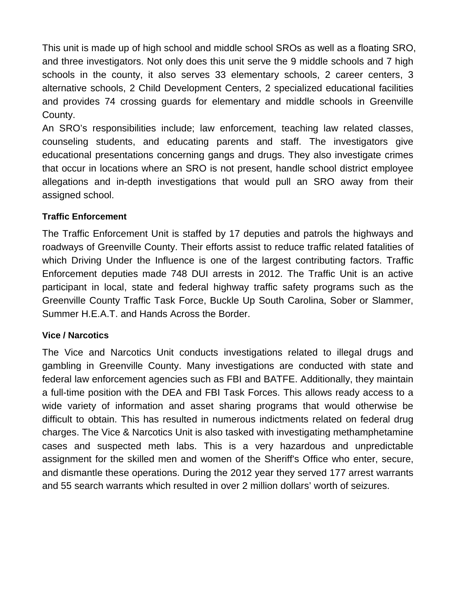This unit is made up of high school and middle school SROs as well as a floating SRO, and three investigators. Not only does this unit serve the 9 middle schools and 7 high schools in the county, it also serves 33 elementary schools, 2 career centers, 3 alternative schools, 2 Child Development Centers, 2 specialized educational facilities and provides 74 crossing guards for elementary and middle schools in Greenville County.

An SRO's responsibilities include; law enforcement, teaching law related classes, counseling students, and educating parents and staff. The investigators give educational presentations concerning gangs and drugs. They also investigate crimes that occur in locations where an SRO is not present, handle school district employee allegations and in-depth investigations that would pull an SRO away from their assigned school.

## **Traffic Enforcement**

The Traffic Enforcement Unit is staffed by 17 deputies and patrols the highways and roadways of Greenville County. Their efforts assist to reduce traffic related fatalities of which Driving Under the Influence is one of the largest contributing factors. Traffic Enforcement deputies made 748 DUI arrests in 2012. The Traffic Unit is an active participant in local, state and federal highway traffic safety programs such as the Greenville County Traffic Task Force, Buckle Up South Carolina, Sober or Slammer, Summer H.E.A.T. and Hands Across the Border.

#### **Vice / Narcotics**

The Vice and Narcotics Unit conducts investigations related to illegal drugs and gambling in Greenville County. Many investigations are conducted with state and federal law enforcement agencies such as FBI and BATFE. Additionally, they maintain a full-time position with the DEA and FBI Task Forces. This allows ready access to a wide variety of information and asset sharing programs that would otherwise be difficult to obtain. This has resulted in numerous indictments related on federal drug charges. The Vice & Narcotics Unit is also tasked with investigating methamphetamine cases and suspected meth labs. This is a very hazardous and unpredictable assignment for the skilled men and women of the Sheriff's Office who enter, secure, and dismantle these operations. During the 2012 year they served 177 arrest warrants and 55 search warrants which resulted in over 2 million dollars' worth of seizures.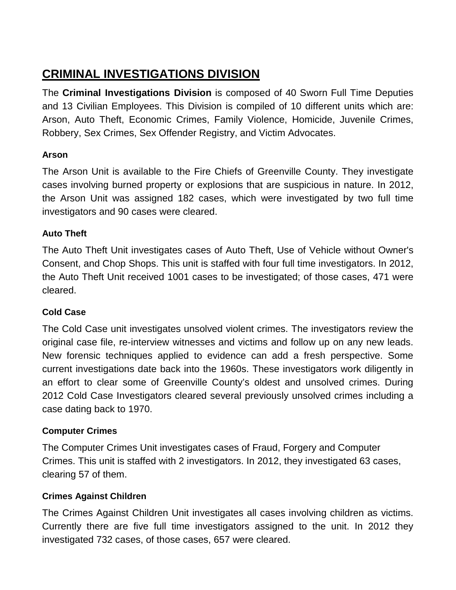# **CRIMINAL INVESTIGATIONS DIVISION**

The **Criminal Investigations Division** is composed of 40 Sworn Full Time Deputies and 13 Civilian Employees. This Division is compiled of 10 different units which are: Arson, Auto Theft, Economic Crimes, Family Violence, Homicide, Juvenile Crimes, Robbery, Sex Crimes, Sex Offender Registry, and Victim Advocates.

## **Arson**

The Arson Unit is available to the Fire Chiefs of Greenville County. They investigate cases involving burned property or explosions that are suspicious in nature. In 2012, the Arson Unit was assigned 182 cases, which were investigated by two full time investigators and 90 cases were cleared.

## **Auto Theft**

The Auto Theft Unit investigates cases of Auto Theft, Use of Vehicle without Owner's Consent, and Chop Shops. This unit is staffed with four full time investigators. In 2012, the Auto Theft Unit received 1001 cases to be investigated; of those cases, 471 were cleared.

## **Cold Case**

The Cold Case unit investigates unsolved violent crimes. The investigators review the original case file, re-interview witnesses and victims and follow up on any new leads. New forensic techniques applied to evidence can add a fresh perspective. Some current investigations date back into the 1960s. These investigators work diligently in an effort to clear some of Greenville County's oldest and unsolved crimes. During 2012 Cold Case Investigators cleared several previously unsolved crimes including a case dating back to 1970.

## **Computer Crimes**

The Computer Crimes Unit investigates cases of Fraud, Forgery and Computer Crimes. This unit is staffed with 2 investigators. In 2012, they investigated 63 cases, clearing 57 of them.

## **Crimes Against Children**

The Crimes Against Children Unit investigates all cases involving children as victims. Currently there are five full time investigators assigned to the unit. In 2012 they investigated 732 cases, of those cases, 657 were cleared.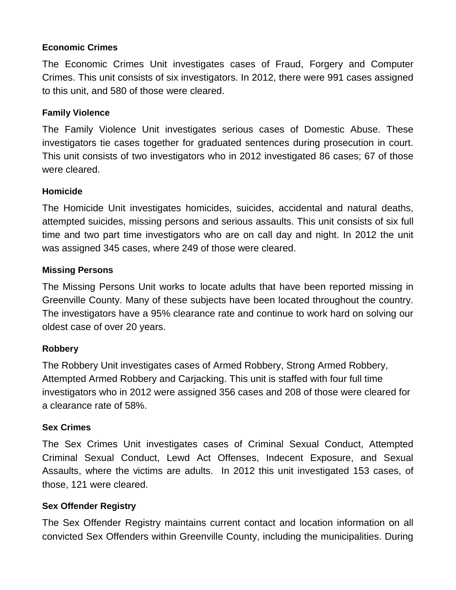#### **Economic Crimes**

The Economic Crimes Unit investigates cases of Fraud, Forgery and Computer Crimes. This unit consists of six investigators. In 2012, there were 991 cases assigned to this unit, and 580 of those were cleared.

#### **Family Violence**

The Family Violence Unit investigates serious cases of Domestic Abuse. These investigators tie cases together for graduated sentences during prosecution in court. This unit consists of two investigators who in 2012 investigated 86 cases; 67 of those were cleared.

#### **Homicide**

The Homicide Unit investigates homicides, suicides, accidental and natural deaths, attempted suicides, missing persons and serious assaults. This unit consists of six full time and two part time investigators who are on call day and night. In 2012 the unit was assigned 345 cases, where 249 of those were cleared.

#### **Missing Persons**

The Missing Persons Unit works to locate adults that have been reported missing in Greenville County. Many of these subjects have been located throughout the country. The investigators have a 95% clearance rate and continue to work hard on solving our oldest case of over 20 years.

#### **Robbery**

The Robbery Unit investigates cases of Armed Robbery, Strong Armed Robbery, Attempted Armed Robbery and Carjacking. This unit is staffed with four full time investigators who in 2012 were assigned 356 cases and 208 of those were cleared for a clearance rate of 58%.

#### **Sex Crimes**

The Sex Crimes Unit investigates cases of Criminal Sexual Conduct, Attempted Criminal Sexual Conduct, Lewd Act Offenses, Indecent Exposure, and Sexual Assaults, where the victims are adults. In 2012 this unit investigated 153 cases, of those, 121 were cleared.

#### **Sex Offender Registry**

The Sex Offender Registry maintains current contact and location information on all convicted Sex Offenders within Greenville County, including the municipalities. During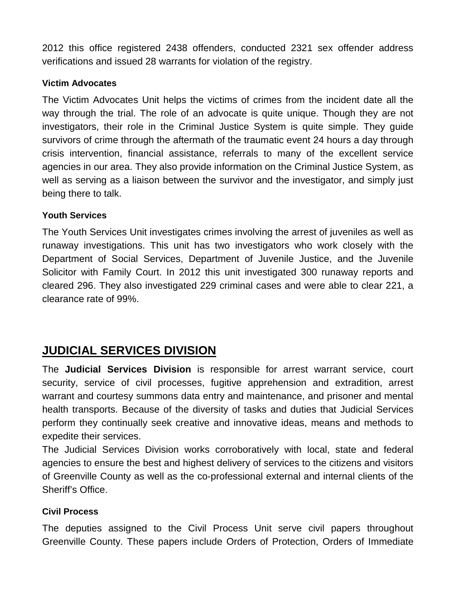2012 this office registered 2438 offenders, conducted 2321 sex offender address verifications and issued 28 warrants for violation of the registry.

#### **Victim Advocates**

The Victim Advocates Unit helps the victims of crimes from the incident date all the way through the trial. The role of an advocate is quite unique. Though they are not investigators, their role in the Criminal Justice System is quite simple. They guide survivors of crime through the aftermath of the traumatic event 24 hours a day through crisis intervention, financial assistance, referrals to many of the excellent service agencies in our area. They also provide information on the Criminal Justice System, as well as serving as a liaison between the survivor and the investigator, and simply just being there to talk.

#### **Youth Services**

The Youth Services Unit investigates crimes involving the arrest of juveniles as well as runaway investigations. This unit has two investigators who work closely with the Department of Social Services, Department of Juvenile Justice, and the Juvenile Solicitor with Family Court. In 2012 this unit investigated 300 runaway reports and cleared 296. They also investigated 229 criminal cases and were able to clear 221, a clearance rate of 99%.

# **JUDICIAL SERVICES DIVISION**

The **Judicial Services Division** is responsible for arrest warrant service, court security, service of civil processes, fugitive apprehension and extradition, arrest warrant and courtesy summons data entry and maintenance, and prisoner and mental health transports. Because of the diversity of tasks and duties that Judicial Services perform they continually seek creative and innovative ideas, means and methods to expedite their services.

The Judicial Services Division works corroboratively with local, state and federal agencies to ensure the best and highest delivery of services to the citizens and visitors of Greenville County as well as the co-professional external and internal clients of the Sheriff's Office.

#### **Civil Process**

The deputies assigned to the Civil Process Unit serve civil papers throughout Greenville County. These papers include Orders of Protection, Orders of Immediate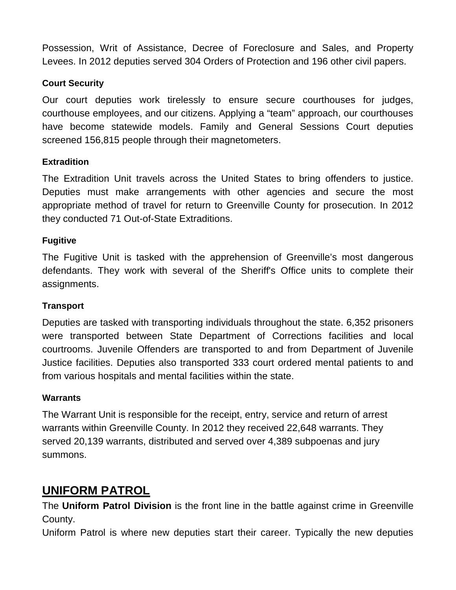Possession, Writ of Assistance, Decree of Foreclosure and Sales, and Property Levees. In 2012 deputies served 304 Orders of Protection and 196 other civil papers.

#### **Court Security**

Our court deputies work tirelessly to ensure secure courthouses for judges, courthouse employees, and our citizens. Applying a "team" approach, our courthouses have become statewide models. Family and General Sessions Court deputies screened 156,815 people through their magnetometers.

#### **Extradition**

The Extradition Unit travels across the United States to bring offenders to justice. Deputies must make arrangements with other agencies and secure the most appropriate method of travel for return to Greenville County for prosecution. In 2012 they conducted 71 Out-of-State Extraditions.

#### **Fugitive**

The Fugitive Unit is tasked with the apprehension of Greenville's most dangerous defendants. They work with several of the Sheriff's Office units to complete their assignments.

#### **Transport**

Deputies are tasked with transporting individuals throughout the state. 6,352 prisoners were transported between State Department of Corrections facilities and local courtrooms. Juvenile Offenders are transported to and from Department of Juvenile Justice facilities. Deputies also transported 333 court ordered mental patients to and from various hospitals and mental facilities within the state.

#### **Warrants**

The Warrant Unit is responsible for the receipt, entry, service and return of arrest warrants within Greenville County. In 2012 they received 22,648 warrants. They served 20,139 warrants, distributed and served over 4,389 subpoenas and jury summons.

# **UNIFORM PATROL**

The **Uniform Patrol Division** is the front line in the battle against crime in Greenville County.

Uniform Patrol is where new deputies start their career. Typically the new deputies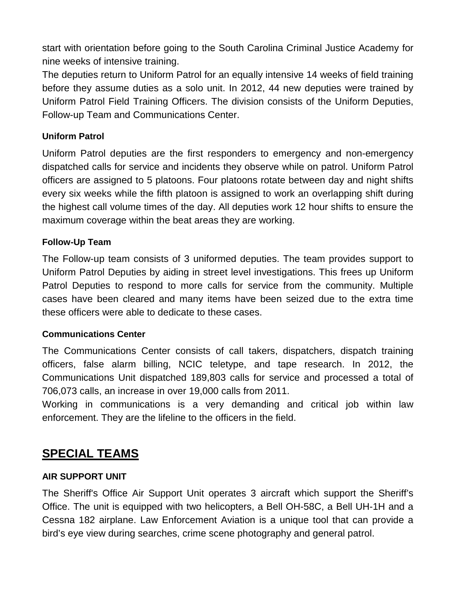start with orientation before going to the South Carolina Criminal Justice Academy for nine weeks of intensive training.

The deputies return to Uniform Patrol for an equally intensive 14 weeks of field training before they assume duties as a solo unit. In 2012, 44 new deputies were trained by Uniform Patrol Field Training Officers. The division consists of the Uniform Deputies, Follow-up Team and Communications Center.

#### **Uniform Patrol**

Uniform Patrol deputies are the first responders to emergency and non-emergency dispatched calls for service and incidents they observe while on patrol. Uniform Patrol officers are assigned to 5 platoons. Four platoons rotate between day and night shifts every six weeks while the fifth platoon is assigned to work an overlapping shift during the highest call volume times of the day. All deputies work 12 hour shifts to ensure the maximum coverage within the beat areas they are working.

#### **Follow-Up Team**

The Follow-up team consists of 3 uniformed deputies. The team provides support to Uniform Patrol Deputies by aiding in street level investigations. This frees up Uniform Patrol Deputies to respond to more calls for service from the community. Multiple cases have been cleared and many items have been seized due to the extra time these officers were able to dedicate to these cases.

#### **Communications Center**

The Communications Center consists of call takers, dispatchers, dispatch training officers, false alarm billing, NCIC teletype, and tape research. In 2012, the Communications Unit dispatched 189,803 calls for service and processed a total of 706,073 calls, an increase in over 19,000 calls from 2011.

Working in communications is a very demanding and critical job within law enforcement. They are the lifeline to the officers in the field.

## **SPECIAL TEAMS**

#### **AIR SUPPORT UNIT**

The Sheriff's Office Air Support Unit operates 3 aircraft which support the Sheriff's Office. The unit is equipped with two helicopters, a Bell OH-58C, a Bell UH-1H and a Cessna 182 airplane. Law Enforcement Aviation is a unique tool that can provide a bird's eye view during searches, crime scene photography and general patrol.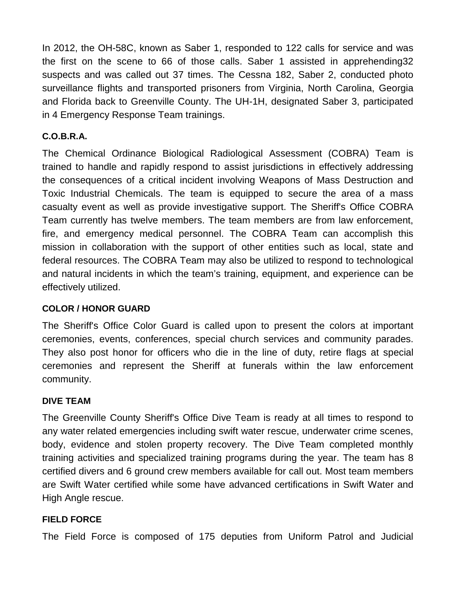In 2012, the OH-58C, known as Saber 1, responded to 122 calls for service and was the first on the scene to 66 of those calls. Saber 1 assisted in apprehending32 suspects and was called out 37 times. The Cessna 182, Saber 2, conducted photo surveillance flights and transported prisoners from Virginia, North Carolina, Georgia and Florida back to Greenville County. The UH-1H, designated Saber 3, participated in 4 Emergency Response Team trainings.

## **C.O.B.R.A.**

The Chemical Ordinance Biological Radiological Assessment (COBRA) Team is trained to handle and rapidly respond to assist jurisdictions in effectively addressing the consequences of a critical incident involving Weapons of Mass Destruction and Toxic Industrial Chemicals. The team is equipped to secure the area of a mass casualty event as well as provide investigative support. The Sheriff's Office COBRA Team currently has twelve members. The team members are from law enforcement, fire, and emergency medical personnel. The COBRA Team can accomplish this mission in collaboration with the support of other entities such as local, state and federal resources. The COBRA Team may also be utilized to respond to technological and natural incidents in which the team's training, equipment, and experience can be effectively utilized.

## **COLOR / HONOR GUARD**

The Sheriff's Office Color Guard is called upon to present the colors at important ceremonies, events, conferences, special church services and community parades. They also post honor for officers who die in the line of duty, retire flags at special ceremonies and represent the Sheriff at funerals within the law enforcement community.

## **DIVE TEAM**

The Greenville County Sheriff's Office Dive Team is ready at all times to respond to any water related emergencies including swift water rescue, underwater crime scenes, body, evidence and stolen property recovery. The Dive Team completed monthly training activities and specialized training programs during the year. The team has 8 certified divers and 6 ground crew members available for call out. Most team members are Swift Water certified while some have advanced certifications in Swift Water and High Angle rescue.

## **FIELD FORCE**

The Field Force is composed of 175 deputies from Uniform Patrol and Judicial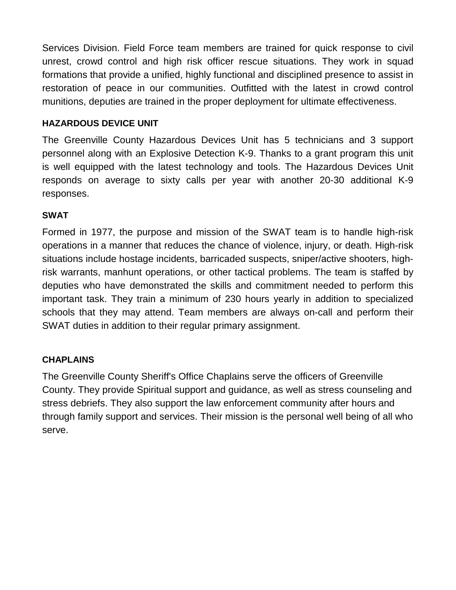Services Division. Field Force team members are trained for quick response to civil unrest, crowd control and high risk officer rescue situations. They work in squad formations that provide a unified, highly functional and disciplined presence to assist in restoration of peace in our communities. Outfitted with the latest in crowd control munitions, deputies are trained in the proper deployment for ultimate effectiveness.

#### **HAZARDOUS DEVICE UNIT**

The Greenville County Hazardous Devices Unit has 5 technicians and 3 support personnel along with an Explosive Detection K-9. Thanks to a grant program this unit is well equipped with the latest technology and tools. The Hazardous Devices Unit responds on average to sixty calls per year with another 20-30 additional K-9 responses.

#### **SWAT**

Formed in 1977, the purpose and mission of the SWAT team is to handle high-risk operations in a manner that reduces the chance of violence, injury, or death. High-risk situations include hostage incidents, barricaded suspects, sniper/active shooters, highrisk warrants, manhunt operations, or other tactical problems. The team is staffed by deputies who have demonstrated the skills and commitment needed to perform this important task. They train a minimum of 230 hours yearly in addition to specialized schools that they may attend. Team members are always on-call and perform their SWAT duties in addition to their regular primary assignment.

## **CHAPLAINS**

The Greenville County Sheriff's Office Chaplains serve the officers of Greenville County. They provide Spiritual support and guidance, as well as stress counseling and stress debriefs. They also support the law enforcement community after hours and through family support and services. Their mission is the personal well being of all who serve.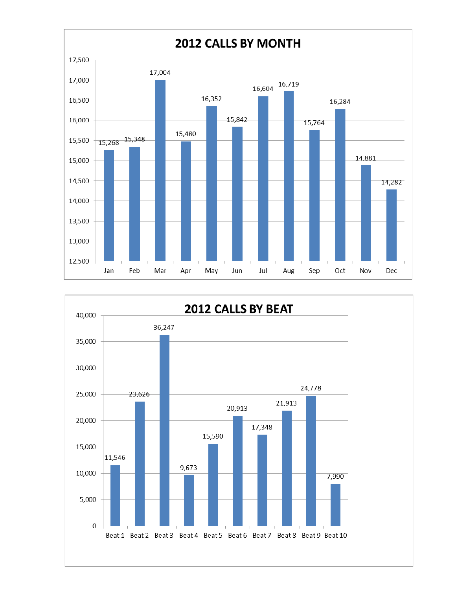

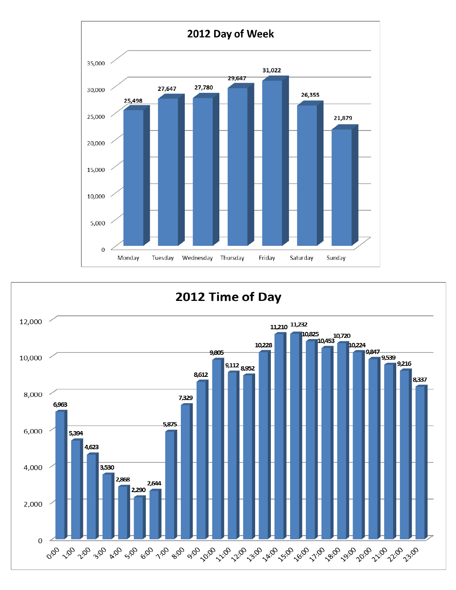

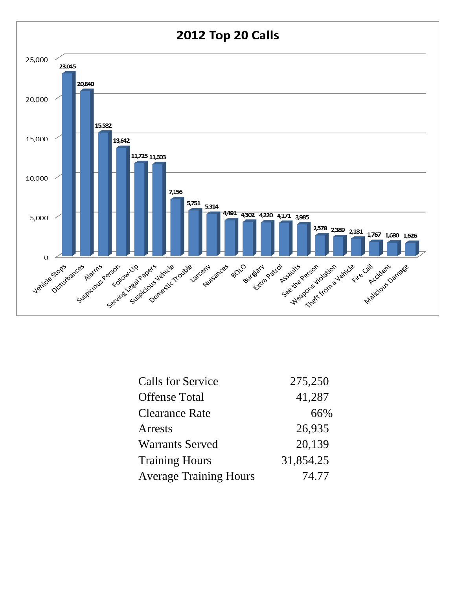

| <b>Calls for Service</b>      | 275,250   |
|-------------------------------|-----------|
| <b>Offense Total</b>          | 41,287    |
| <b>Clearance Rate</b>         | 66%       |
| <b>Arrests</b>                | 26,935    |
| <b>Warrants Served</b>        | 20,139    |
| <b>Training Hours</b>         | 31,854.25 |
| <b>Average Training Hours</b> | 74.77     |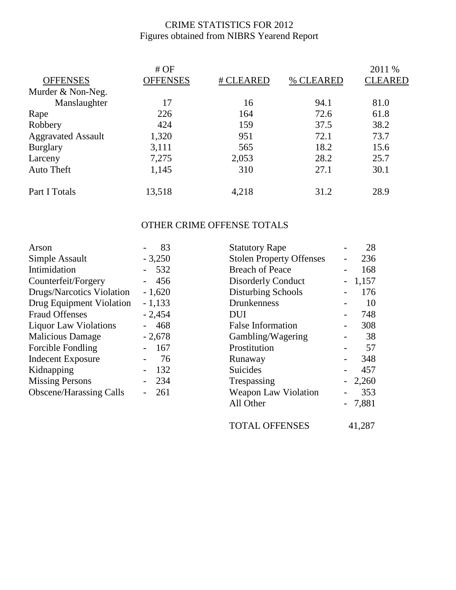## CRIME STATISTICS FOR 2012 Figures obtained from NIBRS Yearend Report

|                           | #OF      |           |           | 2011 %         |
|---------------------------|----------|-----------|-----------|----------------|
| <b>OFFENSES</b>           | OFFENSES | # CLEARED | % CLEARED | <b>CLEARED</b> |
| Murder & Non-Neg.         |          |           |           |                |
| Manslaughter              | 17       | 16        | 94.1      | 81.0           |
| Rape                      | 226      | 164       | 72.6      | 61.8           |
| Robbery                   | 424      | 159       | 37.5      | 38.2           |
| <b>Aggravated Assault</b> | 1,320    | 951       | 72.1      | 73.7           |
| <b>Burglary</b>           | 3,111    | 565       | 18.2      | 15.6           |
| Larceny                   | 7,275    | 2,053     | 28.2      | 25.7           |
| Auto Theft                | 1,145    | 310       | 27.1      | 30.1           |
| Part I Totals             | 13,518   | 4,218     | 31.2      | 28.9           |

## OTHER CRIME OFFENSE TOTALS

| Arson                          | 83       | <b>Statutory Rape</b>           | 28       |
|--------------------------------|----------|---------------------------------|----------|
| Simple Assault                 | $-3,250$ | <b>Stolen Property Offenses</b> | 236      |
| Intimidation                   | 532      | <b>Breach of Peace</b>          | 168      |
| Counterfeit/Forgery            | 456      | <b>Disorderly Conduct</b>       | 1,157    |
| Drugs/Narcotics Violation      | $-1,620$ | <b>Disturbing Schools</b>       | 176      |
| Drug Equipment Violation       | $-1,133$ | Drunkenness                     | 10       |
| <b>Fraud Offenses</b>          | $-2,454$ | <b>DUI</b>                      | 748      |
| <b>Liquor Law Violations</b>   | 468      | <b>False Information</b>        | 308      |
| <b>Malicious Damage</b>        | $-2,678$ | Gambling/Wagering               | 38       |
| <b>Forcible Fondling</b>       | 167      | Prostitution                    | 57       |
| <b>Indecent Exposure</b>       | 76       | Runaway                         | 348      |
| Kidnapping                     | 132      | <b>Suicides</b>                 | 457      |
| <b>Missing Persons</b>         | 234      | Trespassing                     | $-2,260$ |
| <b>Obscene/Harassing Calls</b> | 261      | <b>Weapon Law Violation</b>     | 353      |
|                                |          | All Other                       | $-7,881$ |

TOTAL OFFENSES 41,287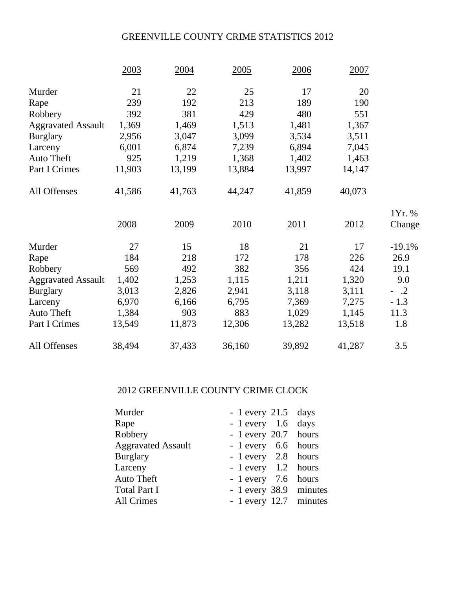## GREENVILLE COUNTY CRIME STATISTICS 2012

|                           | 2003   | 2004   | 2005   | 2006   | 2007   |          |
|---------------------------|--------|--------|--------|--------|--------|----------|
| Murder                    | 21     | 22     | 25     | 17     | 20     |          |
| Rape                      | 239    | 192    | 213    | 189    | 190    |          |
| Robbery                   | 392    | 381    | 429    | 480    | 551    |          |
| <b>Aggravated Assault</b> | 1,369  | 1,469  | 1,513  | 1,481  | 1,367  |          |
| <b>Burglary</b>           | 2,956  | 3,047  | 3,099  | 3,534  | 3,511  |          |
| Larceny                   | 6,001  | 6,874  | 7,239  | 6,894  | 7,045  |          |
| <b>Auto Theft</b>         | 925    | 1,219  | 1,368  | 1,402  | 1,463  |          |
| Part I Crimes             | 11,903 | 13,199 | 13,884 | 13,997 | 14,147 |          |
| All Offenses              | 41,586 | 41,763 | 44,247 | 41,859 | 40,073 |          |
|                           |        |        |        |        |        | 1Yr. %   |
|                           | 2008   | 2009   | 2010   | 2011   | 2012   | Change   |
| Murder                    | 27     | 15     | 18     | 21     | 17     | $-19.1%$ |
| Rape                      | 184    | 218    | 172    | 178    | 226    | 26.9     |
| Robbery                   | 569    | 492    | 382    | 356    | 424    | 19.1     |
| <b>Aggravated Assault</b> | 1,402  | 1,253  | 1,115  | 1,211  | 1,320  | 9.0      |
| <b>Burglary</b>           | 3,013  | 2,826  | 2,941  | 3,118  | 3,111  | $-.2$    |
| Larceny                   | 6,970  | 6,166  | 6,795  | 7,369  | 7,275  | $-1.3$   |
| <b>Auto Theft</b>         | 1,384  | 903    | 883    | 1,029  | 1,145  | 11.3     |
| Part I Crimes             | 13,549 | 11,873 | 12,306 | 13,282 | 13,518 | 1.8      |
| All Offenses              | 38,494 | 37,433 | 36,160 | 39,892 | 41,287 | 3.5      |

#### 2012 GREENVILLE COUNTY CRIME CLOCK

| Murder                    | $-1$ every 21.5 days   |  |
|---------------------------|------------------------|--|
| Rape                      | $-1$ every 1.6 days    |  |
| Robbery                   | $-1$ every 20.7 hours  |  |
| <b>Aggravated Assault</b> | - 1 every 6.6 hours    |  |
| <b>Burglary</b>           | - 1 every 2.8 hours    |  |
| Larceny                   | - 1 every 1.2 hours    |  |
| <b>Auto Theft</b>         | - 1 every 7.6 hours    |  |
| <b>Total Part I</b>       | - 1 every 38.9 minutes |  |
| <b>All Crimes</b>         | - 1 every 12.7 minutes |  |